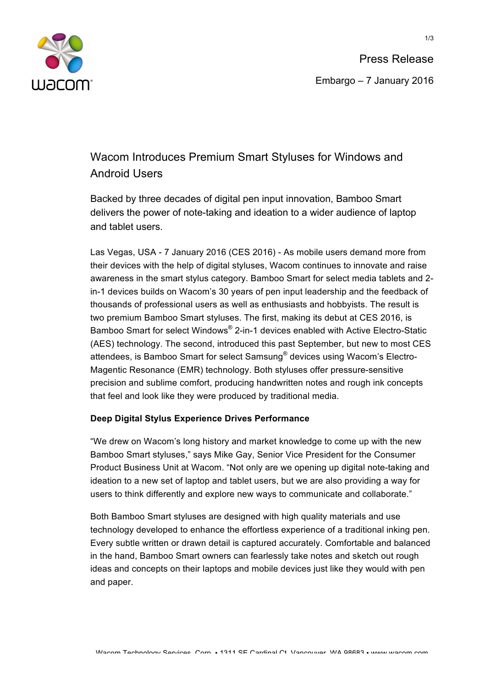

# Wacom Introduces Premium Smart Styluses for Windows and Android Users

Backed by three decades of digital pen input innovation, Bamboo Smart delivers the power of note-taking and ideation to a wider audience of laptop and tablet users.

Las Vegas, USA - 7 January 2016 (CES 2016) - As mobile users demand more from their devices with the help of digital styluses, Wacom continues to innovate and raise awareness in the smart stylus category. Bamboo Smart for select media tablets and 2 in-1 devices builds on Wacom's 30 years of pen input leadership and the feedback of thousands of professional users as well as enthusiasts and hobbyists. The result is two premium Bamboo Smart styluses. The first, making its debut at CES 2016, is Bamboo Smart for select Windows® 2-in-1 devices enabled with Active Electro-Static (AES) technology. The second, introduced this past September, but new to most CES attendees, is Bamboo Smart for select Samsung® devices using Wacom's Electro-Magentic Resonance (EMR) technology. Both styluses offer pressure-sensitive precision and sublime comfort, producing handwritten notes and rough ink concepts that feel and look like they were produced by traditional media.

## **Deep Digital Stylus Experience Drives Performance**

"We drew on Wacom's long history and market knowledge to come up with the new Bamboo Smart styluses," says Mike Gay, Senior Vice President for the Consumer Product Business Unit at Wacom. "Not only are we opening up digital note-taking and ideation to a new set of laptop and tablet users, but we are also providing a way for users to think differently and explore new ways to communicate and collaborate."

Both Bamboo Smart styluses are designed with high quality materials and use technology developed to enhance the effortless experience of a traditional inking pen. Every subtle written or drawn detail is captured accurately. Comfortable and balanced in the hand, Bamboo Smart owners can fearlessly take notes and sketch out rough ideas and concepts on their laptops and mobile devices just like they would with pen and paper.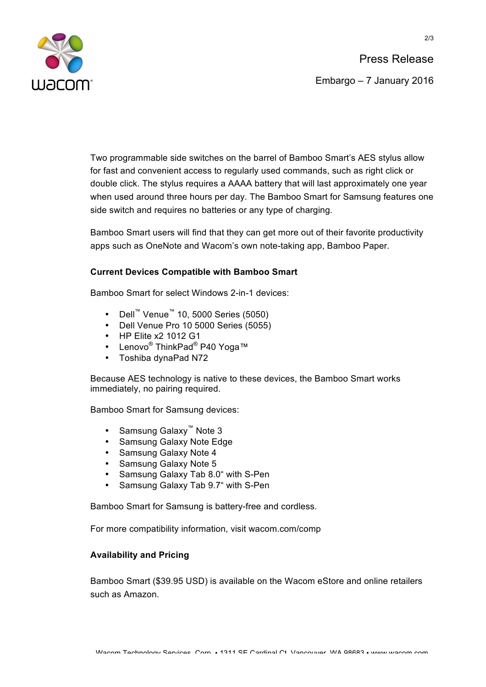

Two programmable side switches on the barrel of Bamboo Smart's AES stylus allow for fast and convenient access to regularly used commands, such as right click or double click. The stylus requires a AAAA battery that will last approximately one year when used around three hours per day. The Bamboo Smart for Samsung features one side switch and requires no batteries or any type of charging.

Bamboo Smart users will find that they can get more out of their favorite productivity apps such as OneNote and Wacom's own note-taking app, Bamboo Paper.

### **Current Devices Compatible with Bamboo Smart**

Bamboo Smart for select Windows 2-in-1 devices:

- Dell™ Venue™ 10, 5000 Series (5050)
- Dell Venue Pro 10 5000 Series (5055)
- HP Elite x2 1012 G1
- Lenovo<sup>®</sup> ThinkPad<sup>®</sup> P40 Yoga™
- Toshiba dynaPad N72

Because AES technology is native to these devices, the Bamboo Smart works immediately, no pairing required.

Bamboo Smart for Samsung devices:

- Samsung Galaxy™ Note 3
- Samsung Galaxy Note Edge
- Samsung Galaxy Note 4
- Samsung Galaxy Note 5
- Samsung Galaxy Tab 8.0" with S-Pen
- Samsung Galaxy Tab 9.7" with S-Pen

Bamboo Smart for Samsung is battery-free and cordless.

For more compatibility information, visit wacom.com/comp

### **Availability and Pricing**

Bamboo Smart (\$39.95 USD) is available on the Wacom eStore and online retailers such as Amazon.